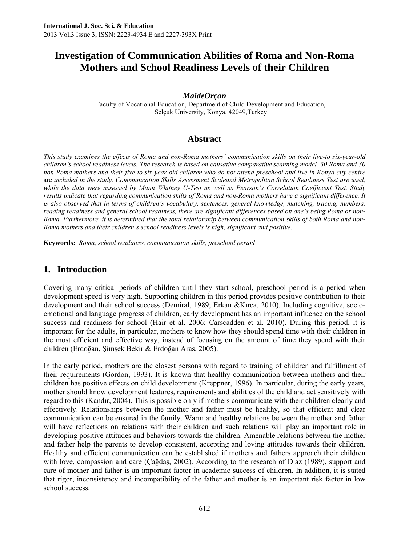### *MaideOrçan*

Faculty of Vocational Education, Department of Child Development and Education, Selçuk University, Konya, 42049,Turkey

### **Abstract**

*This study examines the effects of Roma and non-Roma mothers' communication skills on their five-to six-year-old children's school readiness levels. The research is based on causative comparative scanning model. 30 Roma and 30 non-Roma mothers and their five-to six-year-old children who do not attend preschool and live in Konya city centre* are *included in the study. Communication Skills Assessment Scaleand Metropolitan School Readiness Test are used, while the data were assessed by Mann Whitney U-Test as well as Pearson's Correlation Coefficient Test. Study results indicate that regarding communication skills of Roma and non-Roma mothers have a significant difference. It is also observed that in terms of children's vocabulary, sentences, general knowledge, matching, tracing, numbers, reading readiness and general school readiness, there are significant differences based on one's being Roma or non-Roma. Furthermore, it is determined that the total relationship between communication skills of both Roma and non-Roma mothers and their children's school readiness levels is high, significant and positive.* 

**Keywords:** *Roma, school readiness, communication skills, preschool period*

### **1. Introduction**

Covering many critical periods of children until they start school, preschool period is a period when development speed is very high. Supporting children in this period provides positive contribution to their development and their school success (Demiral, 1989; Erkan &Kırca, 2010). Including cognitive, socioemotional and language progress of children, early development has an important influence on the school success and readiness for school (Hair et al. 2006; Carscadden et al. 2010). During this period, it is important for the adults, in particular, mothers to know how they should spend time with their children in the most efficient and effective way, instead of focusing on the amount of time they spend with their children (Erdoğan, Şimşek Bekir & Erdoğan Aras, 2005).

In the early period, mothers are the closest persons with regard to training of children and fulfillment of their requirements (Gordon, 1993). It is known that healthy communication between mothers and their children has positive effects on child development (Kreppner, 1996). In particular, during the early years, mother should know development features, requirements and abilities of the child and act sensitively with regard to this (Kandır, 2004). This is possible only if mothers communicate with their children clearly and effectively. Relationships between the mother and father must be healthy, so that efficient and clear communication can be ensured in the family. Warm and healthy relations between the mother and father will have reflections on relations with their children and such relations will play an important role in developing positive attitudes and behaviors towards the children. Amenable relations between the mother and father help the parents to develop consistent, accepting and loving attitudes towards their children. Healthy and efficient communication can be established if mothers and fathers approach their children with love, compassion and care (Çağdaş, 2002). According to the research of Diaz (1989), support and care of mother and father is an important factor in academic success of children. In addition, it is stated that rigor, inconsistency and incompatibility of the father and mother is an important risk factor in low school success.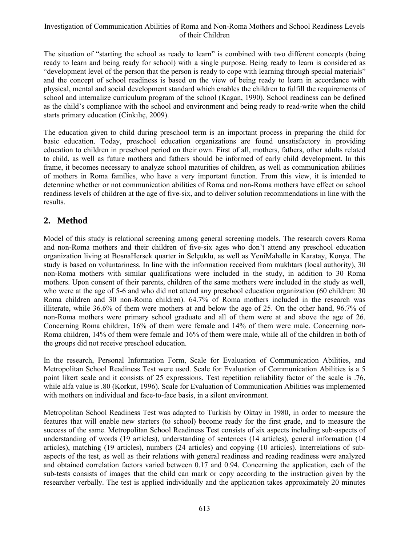The situation of "starting the school as ready to learn" is combined with two different concepts (being ready to learn and being ready for school) with a single purpose. Being ready to learn is considered as "development level of the person that the person is ready to cope with learning through special materials" and the concept of school readiness is based on the view of being ready to learn in accordance with physical, mental and social development standard which enables the children to fulfill the requirements of school and internalize curriculum program of the school (Kagan, 1990). School readiness can be defined as the child's compliance with the school and environment and being ready to read-write when the child starts primary education (Cinkılıç, 2009).

The education given to child during preschool term is an important process in preparing the child for basic education. Today, preschool education organizations are found unsatisfactory in providing education to children in preschool period on their own. First of all, mothers, fathers, other adults related to child, as well as future mothers and fathers should be informed of early child development. In this frame, it becomes necessary to analyze school maturities of children, as well as communication abilities of mothers in Roma families, who have a very important function. From this view, it is intended to determine whether or not communication abilities of Roma and non-Roma mothers have effect on school readiness levels of children at the age of five-six, and to deliver solution recommendations in line with the results.

### **2. Method**

Model of this study is relational screening among general screening models. The research covers Roma and non-Roma mothers and their children of five-six ages who don't attend any preschool education organization living at BosnaHersek quarter in Selçuklu, as well as YeniMahalle in Karatay, Konya. The study is based on voluntariness. In line with the information received from mukhtars (local authority), 30 non-Roma mothers with similar qualifications were included in the study, in addition to 30 Roma mothers. Upon consent of their parents, children of the same mothers were included in the study as well, who were at the age of 5-6 and who did not attend any preschool education organization (60 children: 30 Roma children and 30 non-Roma children). 64.7% of Roma mothers included in the research was illiterate, while 36.6% of them were mothers at and below the age of 25. On the other hand, 96.7% of non-Roma mothers were primary school graduate and all of them were at and above the age of 26. Concerning Roma children, 16% of them were female and 14% of them were male. Concerning non-Roma children, 14% of them were female and 16% of them were male, while all of the children in both of the groups did not receive preschool education.

In the research, Personal Information Form, Scale for Evaluation of Communication Abilities, and Metropolitan School Readiness Test were used. Scale for Evaluation of Communication Abilities is a 5 point likert scale and it consists of 25 expressions. Test repetition reliability factor of the scale is .76, while alfa value is .80 (Korkut, 1996). Scale for Evaluation of Communication Abilities was implemented with mothers on individual and face-to-face basis, in a silent environment.

Metropolitan School Readiness Test was adapted to Turkish by Oktay in 1980, in order to measure the features that will enable new starters (to school) become ready for the first grade, and to measure the success of the same. Metropolitan School Readiness Test consists of six aspects including sub-aspects of understanding of words (19 articles), understanding of sentences (14 articles), general information (14 articles), matching (19 articles), numbers (24 articles) and copying (10 articles). Interrelations of subaspects of the test, as well as their relations with general readiness and reading readiness were analyzed and obtained correlation factors varied between 0.17 and 0.94. Concerning the application, each of the sub-tests consists of images that the child can mark or copy according to the instruction given by the researcher verbally. The test is applied individually and the application takes approximately 20 minutes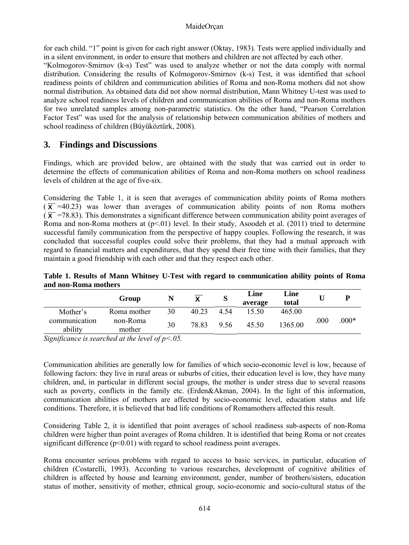#### MaideOrçan

for each child. "1" point is given for each right answer (Oktay, 1983). Tests were applied individually and in a silent environment, in order to ensure that mothers and children are not affected by each other.

"Kolmogorov-Smirnov (k-s) Test" was used to analyze whether or not the data comply with normal distribution. Considering the results of Kolmogorov-Smirnov (k-s) Test, it was identified that school readiness points of children and communication abilities of Roma and non-Roma mothers did not show normal distribution. As obtained data did not show normal distribution, Mann Whitney U-test was used to analyze school readiness levels of children and communication abilities of Roma and non-Roma mothers for two unrelated samples among non-parametric statistics. On the other hand, "Pearson Correlation Factor Test" was used for the analysis of relationship between communication abilities of mothers and school readiness of children (Büyüköztürk, 2008).

### **3. Findings and Discussions**

Findings, which are provided below, are obtained with the study that was carried out in order to determine the effects of communication abilities of Roma and non-Roma mothers on school readiness levels of children at the age of five-six.

Considering the Table 1, it is seen that averages of communication ability points of Roma mothers  $(\bar{x} = 40.23)$  was lower than averages of communication ability points of non Roma mothers  $(\bar{x})$  =78.83). This demonstrates a significant difference between communication ability point averages of Roma and non-Roma mothers at  $(p<01)$  level. In their study, Asoodeh et al. (2011) tried to determine successful family communication from the perspective of happy couples. Following the research, it was concluded that successful couples could solve their problems, that they had a mutual approach with regard to financial matters and expenditures, that they spend their free time with their families, that they maintain a good friendship with each other and that they respect each other.

**Table 1. Results of Mann Whitney U-Test with regard to communication ability points of Roma and non-Roma mothers** 

|                          | Group              |    | Y     | S    | Line<br>average | Line<br>total |      |         |
|--------------------------|--------------------|----|-------|------|-----------------|---------------|------|---------|
| Mother's                 | Roma mother        | 30 | 40.23 | 4.54 | 15.50           | 465.00        |      |         |
| communication<br>ability | non-Roma<br>mother | 30 | 78.83 | 9.56 | 45.50           | 1365.00       | .000 | $.000*$ |

*Significance is searched at the level of p<.05.* 

Communication abilities are generally low for families of which socio-economic level is low, because of following factors: they live in rural areas or suburbs of cities, their education level is low, they have many children, and, in particular in different social groups, the mother is under stress due to several reasons such as poverty, conflicts in the family etc. (Erden&Akman, 2004). In the light of this information, communication abilities of mothers are affected by socio-economic level, education status and life conditions. Therefore, it is believed that bad life conditions of Romamothers affected this result.

Considering Table 2, it is identified that point averages of school readiness sub-aspects of non-Roma children were higher than point averages of Roma children. It is identified that being Roma or not creates significant difference  $(p<0.01)$  with regard to school readiness point averages.

Roma encounter serious problems with regard to access to basic services, in particular, education of children (Costarelli, 1993). According to various researches, development of cognitive abilities of children is affected by house and learning environment, gender, number of brothers/sisters, education status of mother, sensitivity of mother, ethnical group, socio-economic and socio-cultural status of the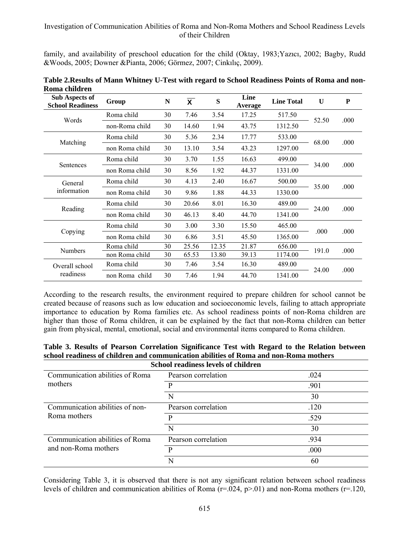family, and availability of preschool education for the child (Oktay, 1983;Yazıcı, 2002; Bagby, Rudd &Woods, 2005; Downer &Pianta, 2006; Görmez, 2007; Cinkılıç, 2009).

| <b>Sub Aspects of</b><br><b>School Readiness</b> | Group          | $\mathbb{N}$ | $\overline{\mathbf{x}}$ | S     | Line<br>Average | <b>Line Total</b> | U     | P    |
|--------------------------------------------------|----------------|--------------|-------------------------|-------|-----------------|-------------------|-------|------|
| Words                                            | Roma child     | 30           | 7.46                    | 3.54  | 17.25           | 517.50            | 52.50 | .000 |
|                                                  | non-Roma child | 30           | 14.60                   | 1.94  | 43.75           | 1312.50           |       |      |
| Matching                                         | Roma child     | 30           | 5.36                    | 2.34  | 17.77           | 533.00            |       | .000 |
|                                                  | non Roma child | 30           | 13.10                   | 3.54  | 43.23           | 1297.00           | 68.00 |      |
| Sentences                                        | Roma child     | 30           | 3.70                    | 1.55  | 16.63           | 499.00            | 34.00 | .000 |
|                                                  | non Roma child | 30           | 8.56                    | 1.92  | 44.37           | 1331.00           |       |      |
| General<br>information                           | Roma child     | 30           | 4.13                    | 2.40  | 16.67           | 500.00            | 35.00 | .000 |
|                                                  | non Roma child | 30           | 9.86                    | 1.88  | 44.33           | 1330.00           |       |      |
| Reading                                          | Roma child     | 30           | 20.66                   | 8.01  | 16.30           | 489.00            | 24.00 | .000 |
|                                                  | non Roma child | 30           | 46.13                   | 8.40  | 44.70           | 1341.00           |       |      |
| Copying                                          | Roma child     | 30           | 3.00                    | 3.30  | 15.50           | 465.00            | .000  | .000 |
|                                                  | non Roma child | 30           | 6.86                    | 3.51  | 45.50           | 1365.00           |       |      |
| <b>Numbers</b>                                   | Roma child     | 30           | 25.56                   | 12.35 | 21.87           | 656.00            | 191.0 | .000 |
|                                                  | non Roma child | 30           | 65.53                   | 13.80 | 39.13           | 1174.00           |       |      |
| Overall school<br>readiness                      | Roma child     | 30           | 7.46                    | 3.54  | 16.30           | 489.00            | 24.00 | .000 |
|                                                  | non Roma child | 30           | 7.46                    | 1.94  | 44.70           | 1341.00           |       |      |

**Table 2.Results of Mann Whitney U-Test with regard to School Readiness Points of Roma and non-Roma children** 

According to the research results, the environment required to prepare children for school cannot be created because of reasons such as low education and socioeconomic levels, failing to attach appropriate importance to education by Roma families etc. As school readiness points of non-Roma children are higher than those of Roma children, it can be explained by the fact that non-Roma children can better gain from physical, mental, emotional, social and environmental items compared to Roma children.

**Table 3. Results of Pearson Correlation Significance Test with Regard to the Relation between school readiness of children and communication abilities of Roma and non-Roma mothers School readiness levels of children** 

| School readiness levels of children |      |  |  |  |  |  |
|-------------------------------------|------|--|--|--|--|--|
| Pearson correlation                 | .024 |  |  |  |  |  |
|                                     | .901 |  |  |  |  |  |
| N                                   | 30   |  |  |  |  |  |
| Pearson correlation                 | .120 |  |  |  |  |  |
| D                                   | .529 |  |  |  |  |  |
| N                                   | 30   |  |  |  |  |  |
| Pearson correlation                 | .934 |  |  |  |  |  |
|                                     | .000 |  |  |  |  |  |
|                                     | 60   |  |  |  |  |  |
|                                     |      |  |  |  |  |  |

Considering Table 3, it is observed that there is not any significant relation between school readiness levels of children and communication abilities of Roma ( $r=.024$ ,  $p>.01$ ) and non-Roma mothers ( $r=.120$ ,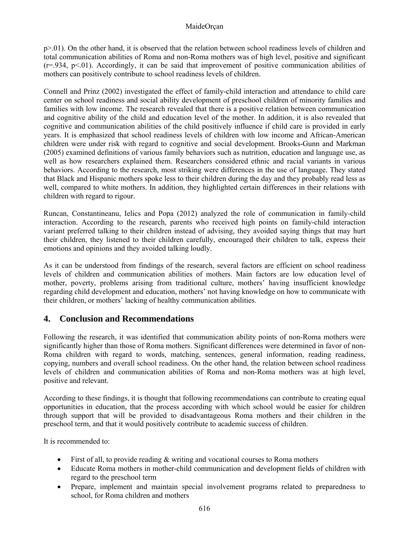#### MaideOrçan

p>.01). On the other hand, it is observed that the relation between school readiness levels of children and total communication abilities of Roma and non-Roma mothers was of high level, positive and significant  $(r=934, p<01)$ . Accordingly, it can be said that improvement of positive communication abilities of mothers can positively contribute to school readiness levels of children.

Connell and Prinz (2002) investigated the effect of family-child interaction and attendance to child care center on school readiness and social ability development of preschool children of minority families and families with low income. The research revealed that there is a positive relation between communication and cognitive ability of the child and education level of the mother. In addition, it is also revealed that cognitive and communication abilities of the child positively influence if child care is provided in early years. It is emphasized that school readiness levels of children with low income and African-American children were under risk with regard to cognitive and social development. Brooks-Gunn and Markman (2005) examined definitions of various family behaviors such as nutrition, education and language use, as well as how researchers explained them. Researchers considered ethnic and racial variants in various behaviors. According to the research, most striking were differences in the use of language. They stated that Black and Hispanic mothers spoke less to their children during the day and they probably read less as well, compared to white mothers. In addition, they highlighted certain differences in their relations with children with regard to rigour.

Runcan, Constantineanu, Ielics and Popa (2012) analyzed the role of communication in family-child interaction. According to the research, parents who received high points on family-child interaction variant preferred talking to their children instead of advising, they avoided saying things that may hurt their children, they listened to their children carefully, encouraged their children to talk, express their emotions and opinions and they avoided talking loudly.

As it can be understood from findings of the research, several factors are efficient on school readiness levels of children and communication abilities of mothers. Main factors are low education level of mother, poverty, problems arising from traditional culture, mothers' having insufficient knowledge regarding child development and education, mothers' not having knowledge on how to communicate with their children, or mothers' lacking of healthy communication abilities.

## **4. Conclusion and Recommendations**

Following the research, it was identified that communication ability points of non-Roma mothers were significantly higher than those of Roma mothers. Significant differences were determined in favor of non-Roma children with regard to words, matching, sentences, general information, reading readiness, copying, numbers and overall school readiness. On the other hand, the relation between school readiness levels of children and communication abilities of Roma and non-Roma mothers was at high level, positive and relevant.

According to these findings, it is thought that following recommendations can contribute to creating equal opportunities in education, that the process according with which school would be easier for children through support that will be provided to disadvantageous Roma mothers and their children in the preschool term, and that it would positively contribute to academic success of children.

It is recommended to:

- First of all, to provide reading  $\&$  writing and vocational courses to Roma mothers
- Educate Roma mothers in mother-child communication and development fields of children with regard to the preschool term
- Prepare, implement and maintain special involvement programs related to preparedness to school, for Roma children and mothers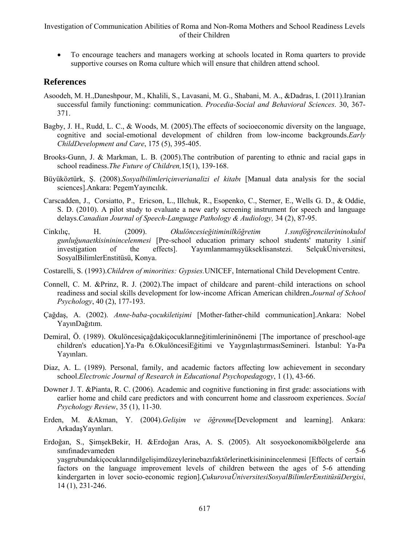To encourage teachers and managers working at schools located in Roma quarters to provide supportive courses on Roma culture which will ensure that children attend school.

### **References**

- Asoodeh, M. H.,Daneshpour, M., Khalili, S., Lavasani, M. G., Shabani, M. A., &Dadras, I. (2011).Iranian successful family functioning: communication. *Procedia-Social and Behavioral Sciences*. 30, 367- 371.
- Bagby, J. H., Rudd, L. C., & Woods, M. (2005).The effects of socioeconomic diversity on the language, cognitive and social-emotional development of children from low-income backgrounds.*Early ChildDevelopment and Care*, 175 (5), 395-405.
- Brooks-Gunn, J. & Markman, L. B. (2005).The contribution of parenting to ethnic and racial gaps in school readiness.*The Future of Children,*15(1), 139-168.
- Büyüköztürk, Ş. (2008).*Sosyalbilimleriçinverianalizi el kitabı* [Manual data analysis for the social sciences].Ankara: PegemYayıncılık.
- Carscadden, J., Corsiatto, P., Ericson, L., Illchuk, R., Esopenko, C., Sterner, E., Wells G. D., & Oddie, S. D. (2010). A pilot study to evaluate a new early screening instrument for speech and language delays.*Canadian Journal of Speech-Language Pathology & Audiology,* 34 (2), 87-95.
- Cinkılıç, H. (2009). *Okulöncesieğitiminilköğretim 1.sınıföğrencilerininokulol gunluğunaetkisininincelenmesi* [Pre-school education primary school students' maturity 1.sinif investigation of the effects]. Yayımlanmamışyükseklisanstezi. SelçukÜniversitesi, SosyalBilimlerEnstitüsü, Konya.
- Costarelli, S. (1993).*Children of minorities: Gypsies.*UNICEF, International Child Development Centre.
- Connell, C. M. &Prinz, R. J. (2002).The impact of childcare and parent–child interactions on school readiness and social skills development for low-income African American children.*Journal of School Psychology*, 40 (2), 177-193.
- Çağdaş, A. (2002). *Anne-baba-çocukiletişimi* [Mother-father-child communication].Ankara: Nobel YayınDağıtım.
- Demiral, Ö. (1989). Okulöncesiçağdakiçocuklarıneğitimlerininönemi [The importance of preschool-age children's education].Ya-Pa 6.OkulöncesiEğitimi ve YaygınlaştırmasıSemineri. İstanbul: Ya-Pa Yayınları.
- Diaz, A. L. (1989). Personal, family, and academic factors affecting low achievement in secondary school.*Electronic Journal of Research in Educational Psychopedagogy*, 1 (1), 43-66.
- Downer J. T. &Pianta, R. C. (2006). Academic and cognitive functioning in first grade: associations with earlier home and child care predictors and with concurrent home and classroom experiences. *Social Psychology Review*, 35 (1), 11-30.
- Erden, M. &Akman, Y. (2004).*Gelişim ve öğrenme*[Development and learning]. Ankara: ArkadaşYayınları.
- Erdoğan, S., ŞimşekBekir, H. &Erdoğan Aras, A. S. (2005). Alt sosyoekonomikbölgelerde ana sınıfınadevameden 5-6 yaşgrubundakiçocuklarındilgelişimdüzeylerinebazıfaktörlerinetkisininincelenmesi [Effects of certain factors on the language improvement levels of children between the ages of 5-6 attending kindergarten in lover socio-economic region].*ÇukurovaÜniversitesiSosyalBilimlerEnstitüsüDergisi*, 14 (1), 231-246.